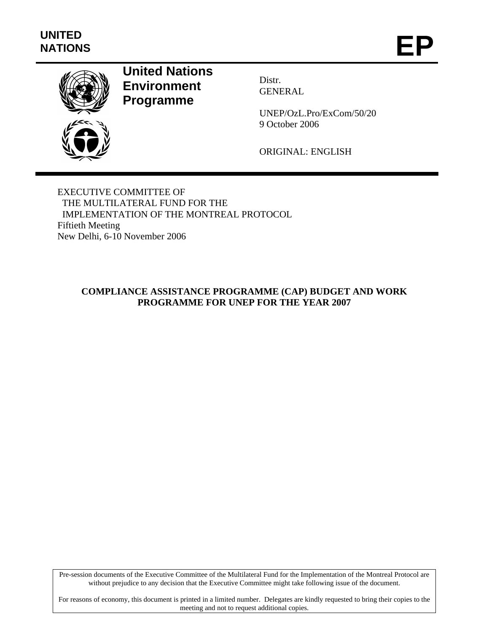

# **United Nations Environment Programme**

Distr. GENERAL

UNEP/OzL.Pro/ExCom/50/20 9 October 2006

ORIGINAL: ENGLISH

EXECUTIVE COMMITTEE OF THE MULTILATERAL FUND FOR THE IMPLEMENTATION OF THE MONTREAL PROTOCOL Fiftieth Meeting New Delhi, 6-10 November 2006

#### **COMPLIANCE ASSISTANCE PROGRAMME (CAP) BUDGET AND WORK PROGRAMME FOR UNEP FOR THE YEAR 2007**

Pre-session documents of the Executive Committee of the Multilateral Fund for the Implementation of the Montreal Protocol are without prejudice to any decision that the Executive Committee might take following issue of the document.

For reasons of economy, this document is printed in a limited number. Delegates are kindly requested to bring their copies to the meeting and not to request additional copies.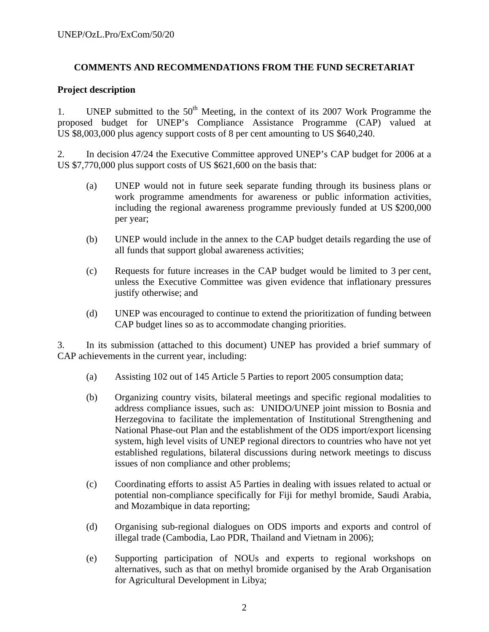#### **COMMENTS AND RECOMMENDATIONS FROM THE FUND SECRETARIAT**

#### **Project description**

1. UNEP submitted to the  $50<sup>th</sup>$  Meeting, in the context of its 2007 Work Programme the proposed budget for UNEP's Compliance Assistance Programme (CAP) valued at US \$8,003,000 plus agency support costs of 8 per cent amounting to US \$640,240.

2. In decision 47/24 the Executive Committee approved UNEP's CAP budget for 2006 at a US \$7,770,000 plus support costs of US \$621,600 on the basis that:

- (a) UNEP would not in future seek separate funding through its business plans or work programme amendments for awareness or public information activities, including the regional awareness programme previously funded at US \$200,000 per year;
- (b) UNEP would include in the annex to the CAP budget details regarding the use of all funds that support global awareness activities;
- (c) Requests for future increases in the CAP budget would be limited to 3 per cent, unless the Executive Committee was given evidence that inflationary pressures justify otherwise; and
- (d) UNEP was encouraged to continue to extend the prioritization of funding between CAP budget lines so as to accommodate changing priorities.

3. In its submission (attached to this document) UNEP has provided a brief summary of CAP achievements in the current year, including:

- (a) Assisting 102 out of 145 Article 5 Parties to report 2005 consumption data;
- (b) Organizing country visits, bilateral meetings and specific regional modalities to address compliance issues, such as: UNIDO/UNEP joint mission to Bosnia and Herzegovina to facilitate the implementation of Institutional Strengthening and National Phase-out Plan and the establishment of the ODS import/export licensing system, high level visits of UNEP regional directors to countries who have not yet established regulations, bilateral discussions during network meetings to discuss issues of non compliance and other problems;
- (c) Coordinating efforts to assist A5 Parties in dealing with issues related to actual or potential non-compliance specifically for Fiji for methyl bromide, Saudi Arabia, and Mozambique in data reporting;
- (d) Organising sub-regional dialogues on ODS imports and exports and control of illegal trade (Cambodia, Lao PDR, Thailand and Vietnam in 2006);
- (e) Supporting participation of NOUs and experts to regional workshops on alternatives, such as that on methyl bromide organised by the Arab Organisation for Agricultural Development in Libya;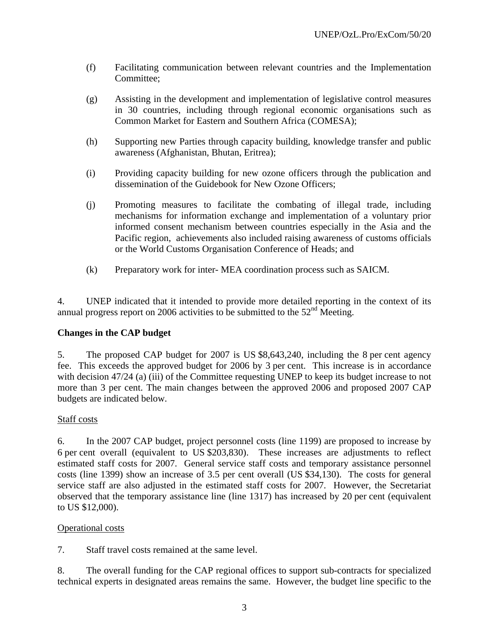- (f) Facilitating communication between relevant countries and the Implementation Committee;
- (g) Assisting in the development and implementation of legislative control measures in 30 countries, including through regional economic organisations such as Common Market for Eastern and Southern Africa (COMESA);
- (h) Supporting new Parties through capacity building, knowledge transfer and public awareness (Afghanistan, Bhutan, Eritrea);
- (i) Providing capacity building for new ozone officers through the publication and dissemination of the Guidebook for New Ozone Officers;
- (j) Promoting measures to facilitate the combating of illegal trade, including mechanisms for information exchange and implementation of a voluntary prior informed consent mechanism between countries especially in the Asia and the Pacific region, achievements also included raising awareness of customs officials or the World Customs Organisation Conference of Heads; and
- (k) Preparatory work for inter- MEA coordination process such as SAICM.

4. UNEP indicated that it intended to provide more detailed reporting in the context of its annual progress report on 2006 activities to be submitted to the  $52<sup>nd</sup>$  Meeting.

#### **Changes in the CAP budget**

5. The proposed CAP budget for 2007 is US \$8,643,240, including the 8 per cent agency fee. This exceeds the approved budget for 2006 by 3 per cent. This increase is in accordance with decision 47/24 (a) (iii) of the Committee requesting UNEP to keep its budget increase to not more than 3 per cent. The main changes between the approved 2006 and proposed 2007 CAP budgets are indicated below.

#### Staff costs

6. In the 2007 CAP budget, project personnel costs (line 1199) are proposed to increase by 6 per cent overall (equivalent to US \$203,830). These increases are adjustments to reflect estimated staff costs for 2007. General service staff costs and temporary assistance personnel costs (line 1399) show an increase of 3.5 per cent overall (US \$34,130). The costs for general service staff are also adjusted in the estimated staff costs for 2007. However, the Secretariat observed that the temporary assistance line (line 1317) has increased by 20 per cent (equivalent to US \$12,000).

#### Operational costs

7. Staff travel costs remained at the same level.

8. The overall funding for the CAP regional offices to support sub-contracts for specialized technical experts in designated areas remains the same. However, the budget line specific to the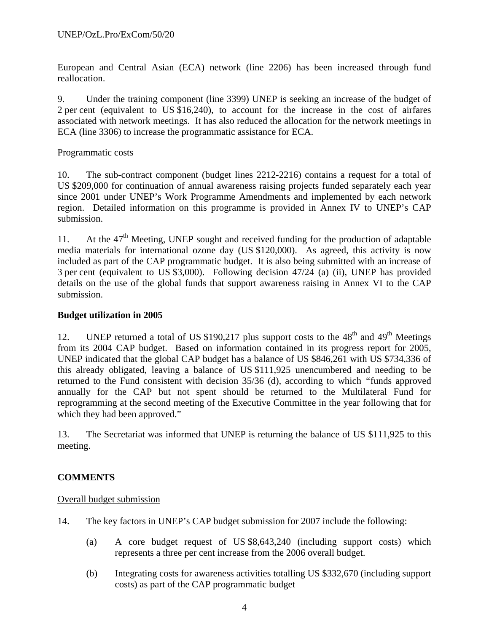European and Central Asian (ECA) network (line 2206) has been increased through fund reallocation.

9. Under the training component (line 3399) UNEP is seeking an increase of the budget of 2 per cent (equivalent to US \$16,240), to account for the increase in the cost of airfares associated with network meetings. It has also reduced the allocation for the network meetings in ECA (line 3306) to increase the programmatic assistance for ECA.

#### Programmatic costs

10. The sub-contract component (budget lines 2212-2216) contains a request for a total of US \$209,000 for continuation of annual awareness raising projects funded separately each year since 2001 under UNEP's Work Programme Amendments and implemented by each network region. Detailed information on this programme is provided in Annex IV to UNEP's CAP submission.

11. At the  $47<sup>th</sup>$  Meeting, UNEP sought and received funding for the production of adaptable media materials for international ozone day (US \$120,000). As agreed, this activity is now included as part of the CAP programmatic budget. It is also being submitted with an increase of 3 per cent (equivalent to US \$3,000). Following decision 47/24 (a) (ii), UNEP has provided details on the use of the global funds that support awareness raising in Annex VI to the CAP submission.

#### **Budget utilization in 2005**

12. UNEP returned a total of US \$190,217 plus support costs to the  $48<sup>th</sup>$  and  $49<sup>th</sup>$  Meetings from its 2004 CAP budget. Based on information contained in its progress report for 2005, UNEP indicated that the global CAP budget has a balance of US \$846,261 with US \$734,336 of this already obligated, leaving a balance of US \$111,925 unencumbered and needing to be returned to the Fund consistent with decision 35/36 (d), according to which *"*funds approved annually for the CAP but not spent should be returned to the Multilateral Fund for reprogramming at the second meeting of the Executive Committee in the year following that for which they had been approved."

13. The Secretariat was informed that UNEP is returning the balance of US \$111,925 to this meeting.

#### **COMMENTS**

#### Overall budget submission

- 14. The key factors in UNEP's CAP budget submission for 2007 include the following:
	- (a) A core budget request of US \$8,643,240 (including support costs) which represents a three per cent increase from the 2006 overall budget.
	- (b) Integrating costs for awareness activities totalling US \$332,670 (including support costs) as part of the CAP programmatic budget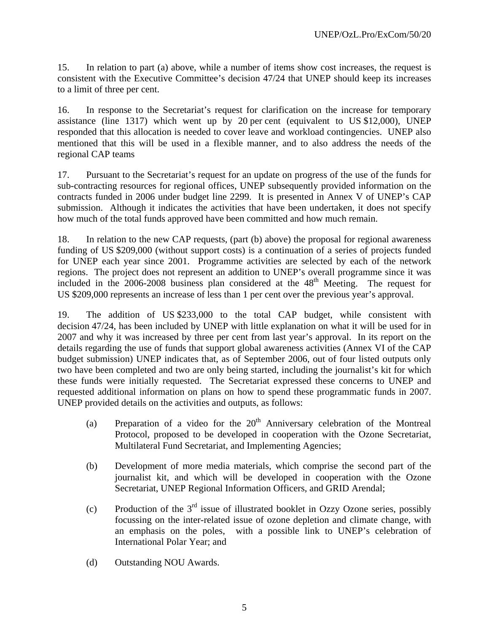15. In relation to part (a) above, while a number of items show cost increases, the request is consistent with the Executive Committee's decision 47/24 that UNEP should keep its increases to a limit of three per cent.

16. In response to the Secretariat's request for clarification on the increase for temporary assistance (line 1317) which went up by 20 per cent (equivalent to US \$12,000), UNEP responded that this allocation is needed to cover leave and workload contingencies. UNEP also mentioned that this will be used in a flexible manner, and to also address the needs of the regional CAP teams

17. Pursuant to the Secretariat's request for an update on progress of the use of the funds for sub-contracting resources for regional offices, UNEP subsequently provided information on the contracts funded in 2006 under budget line 2299. It is presented in Annex V of UNEP's CAP submission. Although it indicates the activities that have been undertaken, it does not specify how much of the total funds approved have been committed and how much remain.

18. In relation to the new CAP requests, (part (b) above) the proposal for regional awareness funding of US \$209,000 (without support costs) is a continuation of a series of projects funded for UNEP each year since 2001. Programme activities are selected by each of the network regions. The project does not represent an addition to UNEP's overall programme since it was included in the  $2006-2008$  business plan considered at the  $48<sup>th</sup>$  Meeting. The request for US \$209,000 represents an increase of less than 1 per cent over the previous year's approval.

19. The addition of US \$233,000 to the total CAP budget, while consistent with decision 47/24, has been included by UNEP with little explanation on what it will be used for in 2007 and why it was increased by three per cent from last year's approval. In its report on the details regarding the use of funds that support global awareness activities (Annex VI of the CAP budget submission) UNEP indicates that, as of September 2006, out of four listed outputs only two have been completed and two are only being started, including the journalist's kit for which these funds were initially requested. The Secretariat expressed these concerns to UNEP and requested additional information on plans on how to spend these programmatic funds in 2007. UNEP provided details on the activities and outputs, as follows:

- (a) Preparation of a video for the  $20<sup>th</sup>$  Anniversary celebration of the Montreal Protocol, proposed to be developed in cooperation with the Ozone Secretariat, Multilateral Fund Secretariat, and Implementing Agencies;
- (b) Development of more media materials, which comprise the second part of the journalist kit, and which will be developed in cooperation with the Ozone Secretariat, UNEP Regional Information Officers, and GRID Arendal;
- (c) Production of the  $3<sup>rd</sup>$  issue of illustrated booklet in Ozzy Ozone series, possibly focussing on the inter-related issue of ozone depletion and climate change, with an emphasis on the poles, with a possible link to UNEP's celebration of International Polar Year; and
- (d) Outstanding NOU Awards.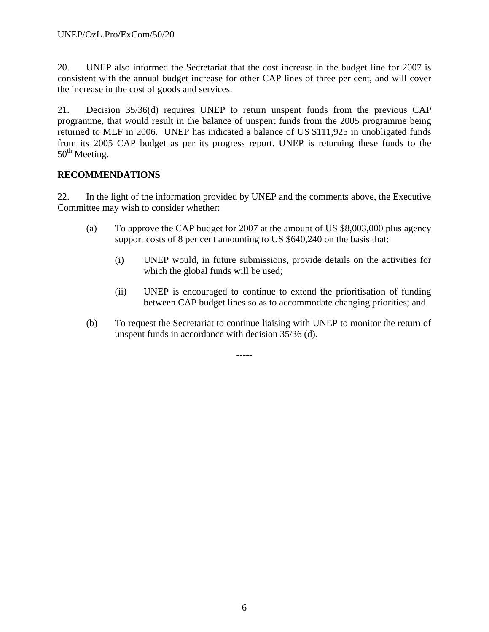20. UNEP also informed the Secretariat that the cost increase in the budget line for 2007 is consistent with the annual budget increase for other CAP lines of three per cent, and will cover the increase in the cost of goods and services.

21. Decision 35/36(d) requires UNEP to return unspent funds from the previous CAP programme, that would result in the balance of unspent funds from the 2005 programme being returned to MLF in 2006. UNEP has indicated a balance of US \$111,925 in unobligated funds from its 2005 CAP budget as per its progress report. UNEP is returning these funds to the  $50<sup>th</sup>$  Meeting.

#### **RECOMMENDATIONS**

22. In the light of the information provided by UNEP and the comments above, the Executive Committee may wish to consider whether:

- (a) To approve the CAP budget for 2007 at the amount of US \$8,003,000 plus agency support costs of 8 per cent amounting to US \$640,240 on the basis that:
	- (i) UNEP would, in future submissions, provide details on the activities for which the global funds will be used;
	- (ii) UNEP is encouraged to continue to extend the prioritisation of funding between CAP budget lines so as to accommodate changing priorities; and
- (b) To request the Secretariat to continue liaising with UNEP to monitor the return of unspent funds in accordance with decision 35/36 (d).

-----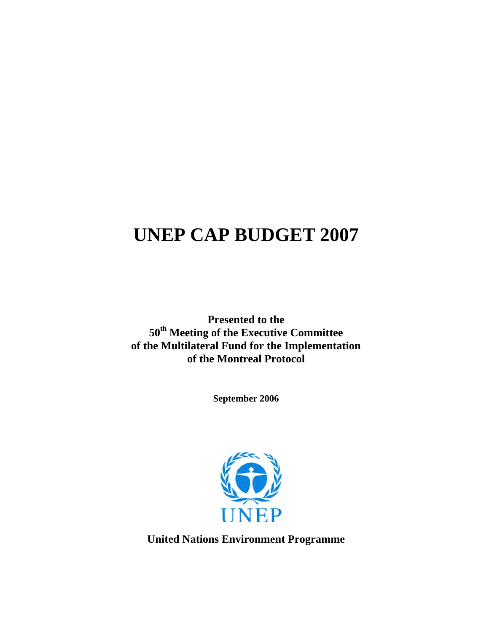# **UNEP CAP BUDGET 2007**

**Presented to the 50th Meeting of the Executive Committee of the Multilateral Fund for the Implementation of the Montreal Protocol** 

**September 2006** 



**United Nations Environment Programme**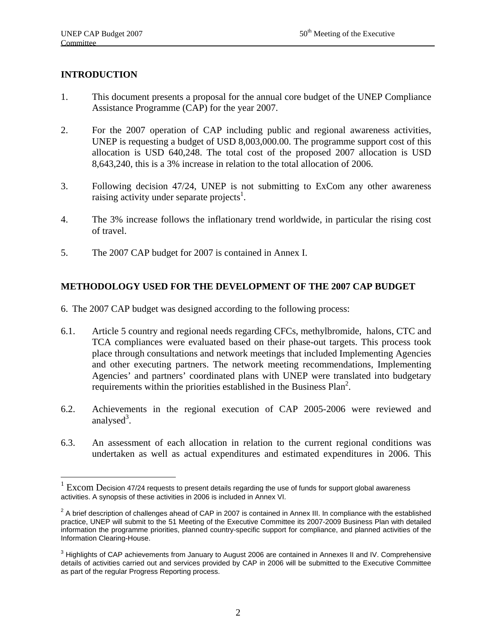#### **INTRODUCTION**

 $\overline{a}$ 

- 1. This document presents a proposal for the annual core budget of the UNEP Compliance Assistance Programme (CAP) for the year 2007.
- 2. For the 2007 operation of CAP including public and regional awareness activities, UNEP is requesting a budget of USD 8,003,000.00. The programme support cost of this allocation is USD 640,248. The total cost of the proposed 2007 allocation is USD 8,643,240, this is a 3% increase in relation to the total allocation of 2006.
- 3. Following decision 47/24, UNEP is not submitting to ExCom any other awareness raising activity under separate projects<sup>1</sup>.
- 4. The 3% increase follows the inflationary trend worldwide, in particular the rising cost of travel.
- 5. The 2007 CAP budget for 2007 is contained in Annex I.

#### **METHODOLOGY USED FOR THE DEVELOPMENT OF THE 2007 CAP BUDGET**

- 6. The 2007 CAP budget was designed according to the following process:
- 6.1. Article 5 country and regional needs regarding CFCs, methylbromide, halons, CTC and TCA compliances were evaluated based on their phase-out targets. This process took place through consultations and network meetings that included Implementing Agencies and other executing partners. The network meeting recommendations, Implementing Agencies' and partners' coordinated plans with UNEP were translated into budgetary requirements within the priorities established in the Business Plan<sup>2</sup>.
- 6.2. Achievements in the regional execution of CAP 2005-2006 were reviewed and analysed<sup>3</sup>.
- 6.3. An assessment of each allocation in relation to the current regional conditions was undertaken as well as actual expenditures and estimated expenditures in 2006. This

<sup>1</sup> Excom Decision 47/24 requests to present details regarding the use of funds for support global awareness activities. A synopsis of these activities in 2006 is included in Annex VI.

 $2$  A brief description of challenges ahead of CAP in 2007 is contained in Annex III. In compliance with the established practice, UNEP will submit to the 51 Meeting of the Executive Committee its 2007-2009 Business Plan with detailed information the programme priorities, planned country-specific support for compliance, and planned activities of the Information Clearing-House.

 $3$  Highlights of CAP achievements from January to August 2006 are contained in Annexes II and IV. Comprehensive details of activities carried out and services provided by CAP in 2006 will be submitted to the Executive Committee as part of the regular Progress Reporting process.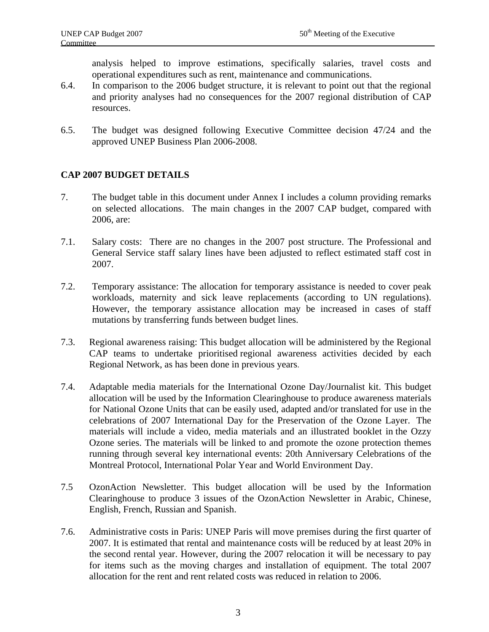analysis helped to improve estimations, specifically salaries, travel costs and operational expenditures such as rent, maintenance and communications.

- 6.4. In comparison to the 2006 budget structure, it is relevant to point out that the regional and priority analyses had no consequences for the 2007 regional distribution of CAP resources.
- 6.5. The budget was designed following Executive Committee decision 47/24 and the approved UNEP Business Plan 2006-2008.

#### **CAP 2007 BUDGET DETAILS**

- 7. The budget table in this document under Annex I includes a column providing remarks on selected allocations. The main changes in the 2007 CAP budget, compared with 2006, are:
- 7.1. Salary costs: There are no changes in the 2007 post structure. The Professional and General Service staff salary lines have been adjusted to reflect estimated staff cost in 2007.
- 7.2. Temporary assistance: The allocation for temporary assistance is needed to cover peak workloads, maternity and sick leave replacements (according to UN regulations). However, the temporary assistance allocation may be increased in cases of staff mutations by transferring funds between budget lines.
- 7.3. Regional awareness raising: This budget allocation will be administered by the Regional CAP teams to undertake prioritised regional awareness activities decided by each Regional Network, as has been done in previous years.
- 7.4. Adaptable media materials for the International Ozone Day/Journalist kit. This budget allocation will be used by the Information Clearinghouse to produce awareness materials for National Ozone Units that can be easily used, adapted and/or translated for use in the celebrations of 2007 International Day for the Preservation of the Ozone Layer. The materials will include a video, media materials and an illustrated booklet in the Ozzy Ozone series. The materials will be linked to and promote the ozone protection themes running through several key international events: 20th Anniversary Celebrations of the Montreal Protocol, International Polar Year and World Environment Day.
- 7.5 OzonAction Newsletter. This budget allocation will be used by the Information Clearinghouse to produce 3 issues of the OzonAction Newsletter in Arabic, Chinese, English, French, Russian and Spanish.
- 7.6. Administrative costs in Paris: UNEP Paris will move premises during the first quarter of 2007. It is estimated that rental and maintenance costs will be reduced by at least 20% in the second rental year. However, during the 2007 relocation it will be necessary to pay for items such as the moving charges and installation of equipment. The total 2007 allocation for the rent and rent related costs was reduced in relation to 2006.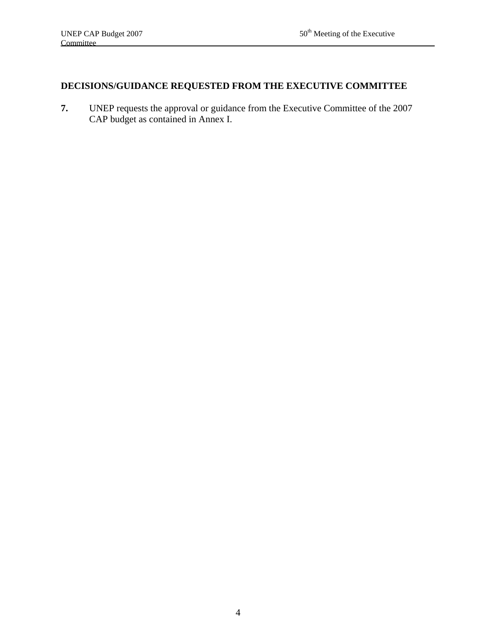# **DECISIONS/GUIDANCE REQUESTED FROM THE EXECUTIVE COMMITTEE**

**7.** UNEP requests the approval or guidance from the Executive Committee of the 2007 CAP budget as contained in Annex I.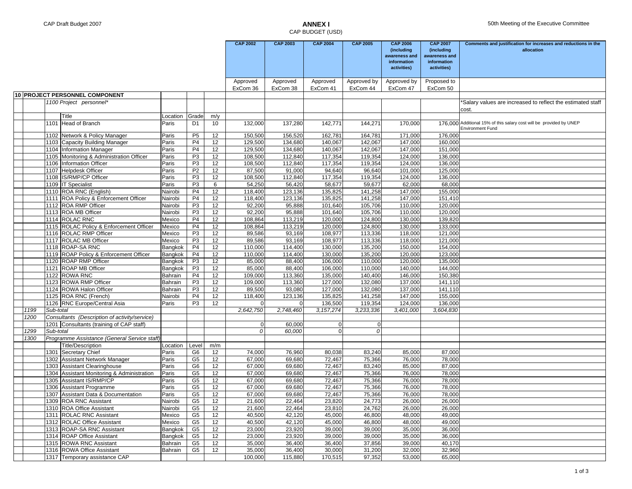#### CAP BUDGET (USD)

|      |           |                                                                 |                    |                      |                 | <b>CAP 2002</b>      | <b>CAP 2003</b>      | <b>CAP 2004</b>      | <b>CAP 2005</b>         | <b>CAP 2006</b><br>(including<br>awareness and<br>information<br>activities) | <b>CAP 2007</b><br>(including<br>awareness and<br>information<br>activities) | Comments and justification for increases and reductions in the<br>allocation                   |
|------|-----------|-----------------------------------------------------------------|--------------------|----------------------|-----------------|----------------------|----------------------|----------------------|-------------------------|------------------------------------------------------------------------------|------------------------------------------------------------------------------|------------------------------------------------------------------------------------------------|
|      |           |                                                                 |                    |                      |                 | Approved<br>ExCom 36 | Approved<br>ExCom 38 | Approved<br>ExCom 41 | Approved by<br>ExCom 44 | Approved by<br>ExCom 47                                                      | Proposed to<br>ExCom 50                                                      |                                                                                                |
|      |           | 10 PROJECT PERSONNEL COMPONENT                                  |                    |                      |                 |                      |                      |                      |                         |                                                                              |                                                                              |                                                                                                |
|      |           | 1100 Project personnel*                                         |                    |                      |                 |                      |                      |                      |                         |                                                                              |                                                                              | *Salary values are increased to reflect the estimated staff<br>cost.                           |
|      |           | Title                                                           | Location           | Grade                | m/y             |                      |                      |                      |                         |                                                                              |                                                                              |                                                                                                |
|      |           | 1101 Head of Branch                                             | Paris              | D <sub>1</sub>       | 10              | 132,000              | 137,280              | 142,771              | 144,271                 | 170,000                                                                      |                                                                              | 176.000 Additional 15% of this salary cost will be provided by UNEP<br><b>Environment Fund</b> |
|      |           | 1102 Network & Policy Manager                                   | Paris              | P <sub>5</sub>       | 12              | 150,500              | 156,520              | 162,781              | 164,781                 | 171,000                                                                      | 176,000                                                                      |                                                                                                |
|      |           | 1103 Capacity Building Manager                                  | Paris              | P <sub>4</sub>       | 12              | 129,500              | 134,680              | 140,067              | 142,067                 | 147,000                                                                      | 160,000                                                                      |                                                                                                |
|      |           | 1104 Information Manager                                        | Paris              | P <sub>4</sub>       | 12              | 129,500              | 134,680              | 140,067              | 142,067                 | 147,000                                                                      | 151,000                                                                      |                                                                                                |
|      |           | 1105 Monitoring & Administration Officer                        | Paris              | P <sub>3</sub>       | 12              | 108,500              | 112,840              | 117,354              | 119,354                 | 124,000                                                                      | 136,000                                                                      |                                                                                                |
|      |           | 1106 Information Officer                                        | Paris              | P3                   | 12              | 108,500              | 112,840              | 117,354              | 119,354                 | 124,000                                                                      | 136,000                                                                      |                                                                                                |
|      |           | 1107 Helpdesk Officer                                           | Paris              | P <sub>2</sub>       | 12              | 87,500               | 91,000               | 94,640               | 96,640                  | 101,000                                                                      | 125,000                                                                      |                                                                                                |
|      |           | 1108 IS/RMP/CP Officer                                          | Paris              | P3                   | 12              | 108,500              | 112,840              | 117,354              | 119,354                 | 124,000                                                                      | 136,000                                                                      |                                                                                                |
|      |           | 1109 IT Specialist                                              | Paris              | P <sub>3</sub>       | 6               | 54,250               | 56,420               | 58,677               | 59,677                  | 62,000                                                                       | 68,000                                                                       |                                                                                                |
|      |           | 1110 ROA RNC (English)                                          | Nairobi            | P <sub>4</sub>       | 12              | 118,400              | 123,136              | 135,825              | 141,258                 | 147,000                                                                      | 155,000                                                                      |                                                                                                |
|      |           | 1111 ROA Policy & Enforcement Officer                           | Nairobi            | P <sub>4</sub>       | 12              | 118,400              | 123,136              | 135,825              | 141,258                 | 147,000                                                                      | 151,410                                                                      |                                                                                                |
|      |           | 1112 ROA RMP Officer                                            | Nairobi            | P <sub>3</sub>       | $\overline{12}$ | 92,200               | 95,888               | 101,640              | 105,706                 | 110,000                                                                      | 120,000                                                                      |                                                                                                |
|      |           | 1113 ROA MB Officer<br>1114 ROLAC RNC                           | Nairobi            | P3                   | 12              | 92,200               | 95,888               | 101,640              | 105,706                 | 110,000                                                                      | 120,000                                                                      |                                                                                                |
|      |           |                                                                 | Mexico             | P <sub>4</sub>       | 12              | 108,864              | 113,219              | 120,000              | 124,800                 | 130,000                                                                      | 139,820                                                                      |                                                                                                |
|      |           | 1115 ROLAC Policy & Enforcement Officer                         | Mexico             | P <sub>4</sub>       | 12              | 108,864              | 113,219              | 120,000              | 124,800                 | 130,000                                                                      | 133,000                                                                      |                                                                                                |
|      |           | 1116 ROLAC RMP Officer                                          | Mexico             | P <sub>3</sub>       | 12              | 89,586               | 93,169               | 108,977              | 113,336                 | 118,000                                                                      | 121,000                                                                      |                                                                                                |
|      |           | 1117 ROLAC MB Officer<br>1118 ROAP-SA RNC                       | Mexico             | P3<br>P <sub>4</sub> | 12              | 89,586               | 93,169               | 108,977              | 113,336                 | 118,000                                                                      | 121,000                                                                      |                                                                                                |
|      |           |                                                                 | Bangkok            |                      | 12              | 110,000              | 114,400              | 130,000              | 135,200                 | 150,000                                                                      | 154,000                                                                      |                                                                                                |
|      |           | 1119 ROAP Policy & Enforcement Officer<br>1120 ROAP RMP Officer | Bangkok            | P <sub>4</sub>       | 12              | 110,000              | 114,400              | 130,000              | 135,200                 | 120,000                                                                      | 123,000<br>135,000                                                           |                                                                                                |
|      |           | 1121 ROAP MB Officer                                            | Bangkok            | P3<br>P3             | 12<br>12        | 85,000<br>85,000     | 88,400<br>88,400     | 106,000<br>106,000   | 110,000<br>110,000      | 120,000<br>140,000                                                           | 144,000                                                                      |                                                                                                |
|      |           | 1122 ROWA RNC                                                   | Bangkok            | P <sub>4</sub>       | 12              |                      |                      |                      | 140,400                 |                                                                              | 150,380                                                                      |                                                                                                |
|      |           | 1123 ROWA RMP Officer                                           | Bahrain            | P <sub>3</sub>       | 12              | 109,000<br>109,000   | 113,360<br>113,360   | 135,000<br>127,000   | 132,080                 | 146,000<br>137,000                                                           | 141,110                                                                      |                                                                                                |
|      |           | 1124 ROWA Halon Officer                                         | Bahrain<br>Bahrain | P <sub>3</sub>       | 12              | 89,500               | 93,080               | 127,000              | 132,080                 | 137,000                                                                      | 141,110                                                                      |                                                                                                |
|      |           | 1125 ROA RNC (French)                                           | Nairobi            | P <sub>4</sub>       | 12              | 118,400              | 123,136              | 135,825              | 141,258                 | 147,000                                                                      | 155,000                                                                      |                                                                                                |
|      |           | 1126 RNC Europe/Central Asia                                    | Paris              | P <sub>3</sub>       | 12              | $\Omega$             | $\Omega$             | 136,500              | 119,354                 | 124,000                                                                      | 136,000                                                                      |                                                                                                |
| 1199 | Sub-total |                                                                 |                    |                      |                 | 2,642,750            | 2,748,460            | 3, 157, 274          | 3,233,336               | 3,401,000                                                                    | 3,604,830                                                                    |                                                                                                |
| 1200 |           | Consultants (Description of activity/service)                   |                    |                      |                 |                      |                      |                      |                         |                                                                              |                                                                              |                                                                                                |
|      |           | 1201 Consultants (training of CAP staff)                        |                    |                      |                 | $\mathbf 0$          | 60,000               | $\overline{0}$       | $\overline{0}$          |                                                                              |                                                                              |                                                                                                |
| 1299 | Sub-total |                                                                 |                    |                      |                 | 0                    | 60,000               | $\Omega$             | 0                       |                                                                              |                                                                              |                                                                                                |
| 1300 |           | Programme Assistance (General Service staff)                    |                    |                      |                 |                      |                      |                      |                         |                                                                              |                                                                              |                                                                                                |
|      |           | <b>Title/Description</b>                                        | Location           | Level                | m/m             |                      |                      |                      |                         |                                                                              |                                                                              |                                                                                                |
|      |           | 1301 Secretary Chief                                            | Paris              | G6                   | 12              | 74,000               | 76,960               | 80,038               | 83,240                  | 85,000                                                                       | 87,000                                                                       |                                                                                                |
|      |           | 1302 Assistant Network Manager                                  | Paris              | G <sub>5</sub>       | 12              | 67,000               | 69,680               | 72,467               | 75,366                  | 76,000                                                                       | 78,000                                                                       |                                                                                                |
|      | 1303      | Assistant Clearinghouse                                         | Paris              | G <sub>6</sub>       | 12              | 67,000               | 69,680               | 72,467               | 83,240                  | 85,000                                                                       | 87,000                                                                       |                                                                                                |
|      | 1304      | Assistant Monitoring & Administration                           | Paris              | G <sub>5</sub>       | 12              | 67,000               | 69,680               | 72,467               | 75,366                  | 76,000                                                                       | 78,000                                                                       |                                                                                                |
|      | 1305      | Assistant IS/RMP/CP                                             | Paris              | G <sub>5</sub>       | $\overline{12}$ | 67,000               | 69,680               | 72,467               | 75,366                  | 76,000                                                                       | 78,000                                                                       |                                                                                                |
|      |           | 1306 Assistant Programme                                        | Paris              | G <sub>5</sub>       | 12              | 67,000               | 69,680               | 72,467               | 75,366                  | 76,000                                                                       | 78,000                                                                       |                                                                                                |
|      |           | 1307 Assistant Data & Documentation                             | Paris              | G <sub>5</sub>       | 12              | 67,000               | 69,680               | 72,467               | 75,366                  | 76,000                                                                       | 78,000                                                                       |                                                                                                |
|      |           | 1309 ROA RNC Assistant                                          | Nairobi            | G5                   | 12              | 21,600               | 22,464               | 23,820               | 24,773                  | 26,000                                                                       | 26,000                                                                       |                                                                                                |
|      |           | 1310 ROA Office Assistant                                       | Nairobi            | G5                   | 12              | 21,600               | 22,464               | 23,810               | 24,762                  | 26,000                                                                       | 26,000                                                                       |                                                                                                |
|      |           | 1311 ROLAC RNC Assistant                                        | Mexico             | G5                   | 12              | 40,500               | 42,120               | 45,000               | 46,800                  | 48,000                                                                       | 49,000                                                                       |                                                                                                |
|      |           | 1312 ROLAC Office Assistant                                     | Mexico             | G5                   | 12              | 40,500               | 42,120               | 45,000               | 46,800                  | 48,000                                                                       | 49,000                                                                       |                                                                                                |
|      |           | 1313 ROAP-SA RNC Assistant                                      | Bangkok            | G <sub>5</sub>       | 12              | 23,000               | 23,920               | 39,000               | 39,000                  | 35,000                                                                       | 36,000                                                                       |                                                                                                |
|      |           | 1314 ROAP Office Assistant                                      | Bangkok            | G5                   | 12              | 23,000               | 23,920               | 39,000               | 39,000                  | 35,000                                                                       | 36,000                                                                       |                                                                                                |
|      |           | 1315 ROWA RNC Assistant                                         | Bahrain            | G5                   | 12              | 35,000               | 36,400               | 36,400               | 37,856                  | 39,000                                                                       | 40,170                                                                       |                                                                                                |
|      |           | 1316 ROWA Office Assistant                                      | Bahrain            | G5                   | 12              | 35,000               | 36,400               | 30,000               | 31,200                  | 32,000                                                                       | 32,960                                                                       |                                                                                                |
|      |           | 1317 Temporary assistance CAP                                   |                    |                      |                 | 100,000              | 115,880              | 170,515              | 97,352                  | 53,000                                                                       | 65,000                                                                       |                                                                                                |
|      |           |                                                                 |                    |                      |                 |                      |                      |                      |                         |                                                                              |                                                                              |                                                                                                |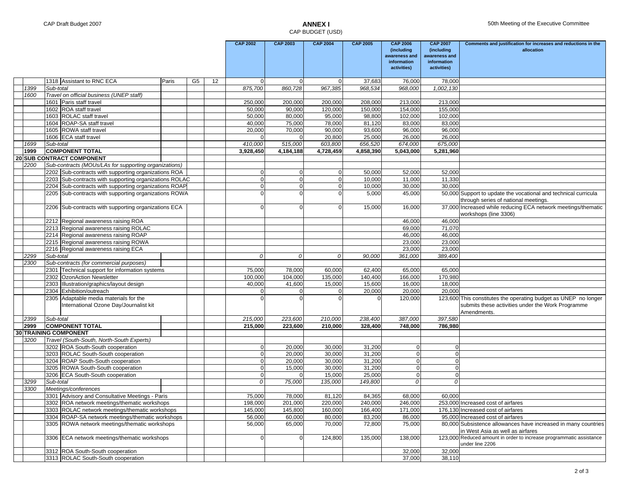#### CAP BUDGET (USD)

|              |                                                                        |       |                |         | <b>CAP 2002</b>            | <b>CAP 2003</b> | <b>CAP 2004</b>  | <b>CAP 2005</b>  | <b>CAP 2006</b>                                                                                    | <b>CAP 2007</b>             | Comments and justification for increases and reductions in the<br>allocation           |
|--------------|------------------------------------------------------------------------|-------|----------------|---------|----------------------------|-----------------|------------------|------------------|----------------------------------------------------------------------------------------------------|-----------------------------|----------------------------------------------------------------------------------------|
|              |                                                                        |       |                |         |                            |                 |                  |                  | (including<br>awareness and                                                                        | (including<br>awareness and |                                                                                        |
|              |                                                                        |       |                |         |                            |                 |                  |                  | information                                                                                        | information                 |                                                                                        |
|              |                                                                        |       |                |         |                            |                 |                  |                  | activities)                                                                                        | activities)                 |                                                                                        |
|              | 1318 Assistant to RNC ECA                                              | Paris | G <sub>5</sub> | 12      | $\Omega$                   | $\Omega$        |                  | 37,683           | 76,000                                                                                             | 78,000                      |                                                                                        |
| 1399         | Sub-total                                                              |       |                |         | 875,700                    | 860,728         | 967,385          | 968,534          | 968,000                                                                                            | 1,002,130                   |                                                                                        |
| 1600         | Travel on official business (UNEP staff)                               |       |                |         |                            |                 |                  |                  |                                                                                                    |                             |                                                                                        |
|              | 1601 Paris staff travel                                                |       |                |         | 250,000                    | 200,000         | 200,000          | 208,000          | 213,000                                                                                            | 213,000                     |                                                                                        |
|              | 1602 ROA staff travel                                                  |       |                |         | 50,000                     | 90,000          | 120,000          | 150,000          | 154,000                                                                                            | 155,000                     |                                                                                        |
|              | 1603 ROLAC staff travel                                                |       |                |         | 50,000                     | 80,000          | 95,000           | 98,800           | 102,000                                                                                            | 102,000                     |                                                                                        |
|              | 1604 ROAP-SA staff travel                                              |       |                |         | 40,000                     | 75,000          | 78,000           | 81,120           | 83,000                                                                                             | 83,000                      |                                                                                        |
|              | 1605 ROWA staff travel<br>1606 ECA staff travel                        |       |                |         | 20,000<br>n                | 70,000          | 90,000<br>20,800 | 93,600<br>25,000 | 96,000<br>26,000                                                                                   | 96,000<br>26,000            |                                                                                        |
| 1699         | Sub-total                                                              |       |                |         | 410,000                    | 515,000         | 603,800          | 656,520          | 674,000                                                                                            | 675,000                     |                                                                                        |
| 1999         | <b>COMPONENT TOTAL</b>                                                 |       |                |         | 3,928,450                  | 4,184,188       | 4,728,459        | 4,858,390        | 5,043,000                                                                                          | 5,281,960                   |                                                                                        |
|              | <b>20 SUB CONTRACT COMPONENT</b>                                       |       |                |         |                            |                 |                  |                  |                                                                                                    |                             |                                                                                        |
| 2200         | Sub-contracts (MOUs/LAs for supporting organizations)                  |       |                |         |                            |                 |                  |                  |                                                                                                    |                             |                                                                                        |
|              | 2202 Sub-contracts with supporting organizations ROA                   |       |                |         | $\overline{0}$             | $\overline{0}$  | $\Omega$         | 50,000           | 52,000                                                                                             | 52,000                      |                                                                                        |
|              | 2203 Sub-contracts with supporting organizations ROLAC                 |       |                |         | $\overline{0}$             | $\Omega$        | $\Omega$         | 10,000           | 11,000                                                                                             | 11,330                      |                                                                                        |
|              | 2204 Sub-contracts with supporting organizations ROAP                  |       |                |         | $\Omega$                   | $\Omega$        | $\overline{0}$   | 10,000           | 30,000                                                                                             | 30,000                      |                                                                                        |
|              | 2205 Sub-contracts with supporting organizations ROWA                  |       |                |         | $\Omega$                   |                 |                  | 5,000            | 45,000                                                                                             |                             | 50,000 Support to update the vocational and technical curricula                        |
|              |                                                                        |       |                |         |                            |                 |                  |                  |                                                                                                    |                             | through series of national meetings.                                                   |
|              | 2206 Sub-contracts with supporting organizations ECA                   |       |                |         | $\Omega$                   | $\Omega$        | $\Omega$         | 15,000           | 16,000                                                                                             |                             | 37,000 Increased while reducing ECA network meetings/thematic<br>workshops (line 3306) |
|              | 2212 Regional awareness raising ROA                                    |       |                |         |                            |                 |                  |                  | 46,000                                                                                             | 46,000                      |                                                                                        |
|              | 2213 Regional awareness raising ROLAC                                  |       |                |         |                            |                 |                  |                  | 69,000                                                                                             | 71,070                      |                                                                                        |
|              | 2214 Regional awareness raising ROAP                                   |       |                |         |                            |                 |                  |                  | 46,000                                                                                             | 46,000                      |                                                                                        |
|              | 2215 Regional awareness raising ROWA                                   |       |                |         |                            |                 |                  |                  | 23,000                                                                                             | 23,000                      |                                                                                        |
|              | 2216 Regional awareness raising ECA                                    |       |                |         |                            |                 |                  |                  | 23,000                                                                                             | 23,000                      |                                                                                        |
| 2299<br>2300 | Sub-total<br>Sub-contracts (for commercial purposes)                   |       |                |         | $\Omega$                   | 0               | $\mathcal O$     | 90,000           | 361,000                                                                                            | 389,400                     |                                                                                        |
|              | 2301 Technical support for information systems                         |       |                |         | 75,000                     | 78,000          | 60,000           | 62,400           | 65,000                                                                                             | 65,000                      |                                                                                        |
|              | 2302 OzonAction Newsletter                                             |       |                |         | 100,000                    | 104,000         | 135,000          | 140,400          | 166,000                                                                                            | 170,980                     |                                                                                        |
|              | 2303 Illustration/graphics/layout design                               |       |                |         | 40,000                     | 41,600          | 15,000           | 15,600           | 16,000                                                                                             | 18,000                      |                                                                                        |
|              | 2304 Exhibition/outreach                                               |       |                |         | 0                          |                 | $\overline{0}$   | 20,000           | 20,000                                                                                             | 20,000                      |                                                                                        |
|              | 2305 Adaptable media materials for the                                 |       |                |         | ŋ                          |                 |                  | $\Omega$         | 120,000                                                                                            |                             | 123,600 This constitutes the operating budget as UNEP no longer                        |
|              | International Ozone Day/Journalist kit                                 |       |                |         |                            |                 |                  |                  |                                                                                                    |                             | submits these activities under the Work Programme<br>Amendments.                       |
| 2399         | Sub-total                                                              |       |                |         | 215,000                    | 223,600         | 210,000          | 238,400          | 387,000                                                                                            | 397,580                     |                                                                                        |
| 2999         | <b>COMPONENT TOTAL</b>                                                 |       |                |         | 215,000                    | 223,600         | 210,000          | 328,400          | 748,000                                                                                            | 786,980                     |                                                                                        |
|              | 30 TRAINING COMPONENT                                                  |       |                |         |                            |                 |                  |                  |                                                                                                    |                             |                                                                                        |
| 3200         | Travel (South-South, North-South Experts)                              |       |                |         |                            |                 |                  |                  |                                                                                                    |                             |                                                                                        |
|              | 3202 ROA South-South cooperation                                       |       |                |         | $\mathbf{0}$               | 20,000          | 30,000           | 31,200           | $\mathbf 0$                                                                                        | $\Omega$                    |                                                                                        |
|              | 3203 ROLAC South-South cooperation                                     |       |                |         | $\Omega$                   | 20,000          | 30,000           | 31,200           | $\overline{0}$                                                                                     | $\Omega$                    |                                                                                        |
|              | 3204 ROAP South-South cooperation                                      |       |                |         | $\overline{0}$             | 20,000          | 30,000           | 31,200           | $\overline{0}$                                                                                     | $\Omega$                    |                                                                                        |
|              | 3205 ROWA South-South cooperation                                      |       |                |         | $\Omega$                   | 15,000          | 30,000           | 31,200           | $\mathbf 0$                                                                                        | $\Omega$                    |                                                                                        |
|              | 3206 ECA South-South cooperation                                       |       |                |         | $\overline{0}$<br>$\Omega$ |                 | 15,000           | 25,000           | $\overline{0}$                                                                                     | $\Omega$<br>$\Omega$        |                                                                                        |
| 3299<br>3300 | Sub-total<br>Meetings/conferences                                      |       |                |         |                            | 75,000          | 135,000          | 149,800          | 0                                                                                                  |                             |                                                                                        |
|              | 3301 Advisory and Consultative Meetings - Paris                        |       |                |         | 75.000                     | 78.000          | 81.120           | 84.365           | 68.000                                                                                             | 60.000                      |                                                                                        |
|              | 3302 ROA network meetings/thematic workshops                           |       |                |         | 198,000                    | 201,000         | 220,000          | 240,000          | 246,000                                                                                            |                             | 253,000 Increased cost of airfares                                                     |
|              | 3303 ROLAC network meetings/thematic workshops                         |       | 145,000        | 145,800 | 160,000                    | 166,400         | 171,000          |                  | 176,130 Increased cost of airfares                                                                 |                             |                                                                                        |
|              | 3304 ROAP-SA network meetings/thematic workshops                       |       | 56,000         | 60,000  | 80,000                     | 83,200          | 86,000           |                  | 95,000 Increased cost of airfares                                                                  |                             |                                                                                        |
|              | 3305 ROWA network meetings/thematic workshops                          |       | 56,000         | 65,000  | 70,000                     | 72,800          | 75,000           |                  | 80,000 Subsistence allowances have increased in many countries<br>in West Asia as well as airfares |                             |                                                                                        |
|              | 3306 ECA network meetings/thematic workshops                           |       |                |         | $\overline{0}$             | $\Omega$        | 124,800          | 135,000          | 138,000                                                                                            | 123,000                     | Reduced amount in order to increase programmatic assistance<br>under line 2206         |
|              | 3312 ROA South-South cooperation<br>3313 ROLAC South-South cooperation |       |                |         |                            |                 |                  |                  | 32,000<br>37,000                                                                                   | 32,000<br>38,110            |                                                                                        |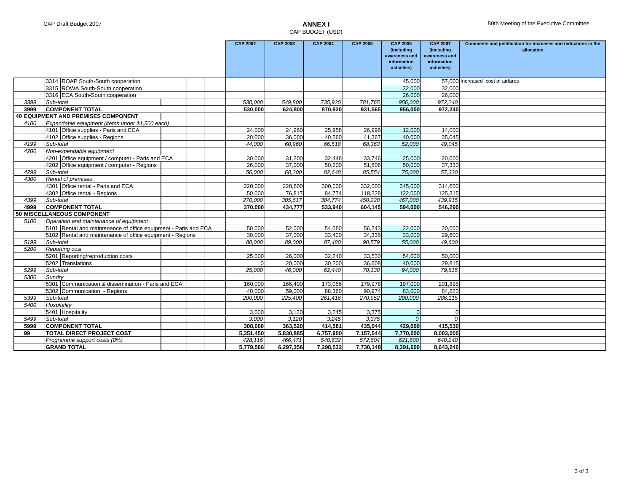#### CAP BUDGET (USD)

|                                     |                                                                 |        | <b>CAP 2002</b> | <b>CAP 2003</b> | <b>CAP 2004</b> | <b>CAP 2005</b> | <b>CAP 2006</b><br>(including | <b>CAP 2007</b><br>(including | Comments and justification for increases and reductions in the<br>allocation |
|-------------------------------------|-----------------------------------------------------------------|--------|-----------------|-----------------|-----------------|-----------------|-------------------------------|-------------------------------|------------------------------------------------------------------------------|
|                                     |                                                                 |        |                 |                 |                 |                 | awareness and                 | awareness and                 |                                                                              |
|                                     |                                                                 |        |                 |                 |                 |                 | information                   | information                   |                                                                              |
|                                     |                                                                 |        |                 |                 |                 |                 | activities)                   | activities)                   |                                                                              |
|                                     | 3314 ROAP South-South cooperation                               |        |                 |                 |                 |                 | 45,000                        | 57.000                        | Increased cost of airfares                                                   |
|                                     | 3315 ROWA South-South cooperation                               |        |                 |                 |                 |                 | 32,000                        | 32,000                        |                                                                              |
|                                     | 3316 ECA South-South cooperation                                |        |                 |                 |                 |                 | 26,000                        | 26,000                        |                                                                              |
| 3399                                | Sub-total                                                       |        | 530,000         | 549,800         | 735,920         | 781,765         | 956,000                       | 972,240                       |                                                                              |
| 3999                                | <b>COMPONENT TOTAL</b>                                          |        | 530,000         | 624,800         | 870,920         | 931,565         | 956,000                       | 972,240                       |                                                                              |
| 40 EQUIPMENT AND PREMISES COMPONENT |                                                                 |        |                 |                 |                 |                 |                               |                               |                                                                              |
| 4100                                | Expendable equipment (items under \$1,500 each)                 |        |                 |                 |                 |                 |                               |                               |                                                                              |
|                                     | 4101 Office supplies - Paris and ECA                            |        | 24,000          | 24,960          | 25,958          | 26,996          | 12,000                        | 14,000                        |                                                                              |
|                                     | 4102 Office supplies - Regions                                  |        | 20.000          | 36.000          | 40.560          | 41.367          | 40.000                        | 35,045                        |                                                                              |
| 4199                                | Sub-total                                                       |        | 44,000          | 60,960          | 66,518          | 68,363          | 52,000                        | 49,045                        |                                                                              |
| 4200                                | Non-expendable equipment                                        |        |                 |                 |                 |                 |                               |                               |                                                                              |
|                                     | 4201 Office equipment / computer - Paris and ECA                |        | 30,000          | 31,200          | 32,448          | 33,746          | 25,000                        | 20,000                        |                                                                              |
|                                     | 4202 Office equipment / computer - Regions                      |        | 26,000          | 37,000          | 50.200          | 51,808          | 50,000                        | 37,330                        |                                                                              |
| 4299                                | Sub-total                                                       |        | 56,000          | 68,200          | 82,648          | 85,554          | 75,000                        | 57,330                        |                                                                              |
| 4300                                | Rental of premises                                              |        |                 |                 |                 |                 |                               |                               |                                                                              |
|                                     | 4301 Office rental - Paris and ECA                              |        | 220,000         | 228,800         | 300,000         | 332,000         | 345,000                       | 314,600                       |                                                                              |
|                                     | 4302 Office rental - Regions                                    |        | 50,000          | 76,817          | 84,774          | 118,228         | 122,000                       | 125,315                       |                                                                              |
| 4399                                | Sub-total                                                       |        | 270,000         | 305,617         | 384,774         | 450,228         | 467.000                       | 439,915                       |                                                                              |
| 4999                                | <b>COMPONENT TOTAL</b>                                          |        | 370,000         | 434,777         | 533,940         | 604,145         | 594,000                       | 546,290                       |                                                                              |
|                                     | 50 MISCELLANEOUS COMPONENT                                      |        |                 |                 |                 |                 |                               |                               |                                                                              |
| 5100                                | Operation and maintenance of equipment                          |        |                 |                 |                 |                 |                               |                               |                                                                              |
|                                     | 5101 Rental and maintenance of office equipment - Paris and ECA | 50.000 | 52,000          | 54,080          | 56,243          | 22,000          | 20,000                        |                               |                                                                              |
|                                     | 5102 Rental and maintenance of office equipment - Regions       |        | 30,000          | 37,000          | 33,400          | 34,336          | 33,000                        | 29,600                        |                                                                              |
| 5199                                | Sub-total                                                       |        | 80,000          | 89,000          | 87,480          | 90,579          | 55,000                        | 49,600                        |                                                                              |
| 5200                                | <b>Reporting cost</b>                                           |        |                 |                 |                 |                 |                               |                               |                                                                              |
|                                     | 5201 Reporting/reproduction costs                               |        | 25,000          | 26,000          | 32,240          | 33,530          | 54,000                        | 50,000                        |                                                                              |
|                                     | 5202 Translations                                               |        | $\Omega$        | 20,000          | 30,200          | 36,608          | 40,000                        | 29,815                        |                                                                              |
| 5299                                | Sub-total                                                       |        | 25.000          | 46.000          | 62.440          | 70.138          | 94.000                        | 79.815                        |                                                                              |
| 5300                                | Sundry                                                          |        |                 |                 |                 |                 |                               |                               |                                                                              |
|                                     | 5301 Communication & dissemination - Paris and ECA              |        | 160,000         | 166,400         | 173,056         | 179,978         | 197,000                       | 201,895                       |                                                                              |
|                                     | 5302 Communication - Regions                                    |        | 40.000          | 59.000          | 88.360          | 90.974          | 83.000                        | 84.220                        |                                                                              |
| 5399                                | Sub-total                                                       |        | 200,000         | 225,400         | 261,416         | 270,952         | 280,000                       | 286,115                       |                                                                              |
| 5400                                | Hospitality                                                     |        |                 |                 |                 |                 |                               |                               |                                                                              |
|                                     | 5401 Hospitality                                                |        | 3,000           | 3,120           | 3.245           | 3,375           | $\Omega$                      |                               |                                                                              |
| 5499                                | Sub-total                                                       |        | 3,000           | 3,120           | 3,245           | 3,375           | $\Omega$                      | $\Omega$                      |                                                                              |
| 5999                                | <b>COMPONENT TOTAL</b>                                          |        | 308,000         | 363,520         | 414,581         | 435,044         | 429,000                       | 415,530                       |                                                                              |
| 99                                  | <b>TOTAL DIRECT PROJECT COST</b>                                |        | 5,351,450       | 5,830,885       | 6,757,900       | 7,157,544       | 7.770.000                     | 8,003,000                     |                                                                              |
|                                     | Programme support costs (8%)                                    |        | 428,116         | 466,471         | 540,632         | 572,604         | 621,600                       | 640,240                       |                                                                              |
|                                     | <b>GRAND TOTAL</b>                                              |        | 5,779,566       | 6,297,356       | 7,298,532       | 7,730,148       | 8,391,600                     | 8,643,240                     |                                                                              |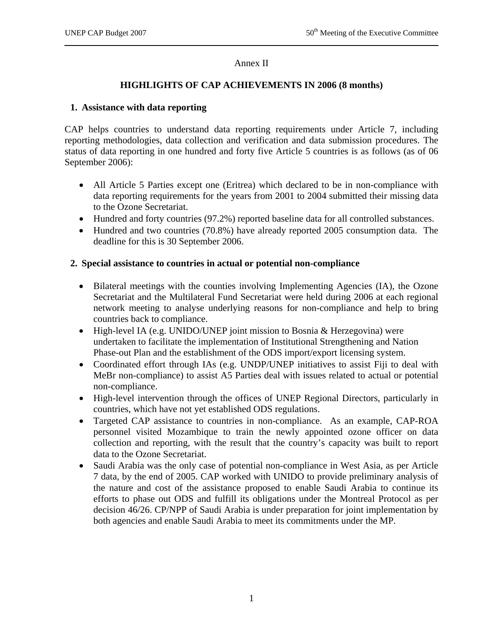#### Annex II

#### **HIGHLIGHTS OF CAP ACHIEVEMENTS IN 2006 (8 months)**

#### **1. Assistance with data reporting**

CAP helps countries to understand data reporting requirements under Article 7, including reporting methodologies, data collection and verification and data submission procedures. The status of data reporting in one hundred and forty five Article 5 countries is as follows (as of 06 September 2006):

- All Article 5 Parties except one (Eritrea) which declared to be in non-compliance with data reporting requirements for the years from 2001 to 2004 submitted their missing data to the Ozone Secretariat.
- Hundred and forty countries (97.2%) reported baseline data for all controlled substances.
- Hundred and two countries (70.8%) have already reported 2005 consumption data. The deadline for this is 30 September 2006.

#### **2. Special assistance to countries in actual or potential non-compliance**

- Bilateral meetings with the counties involving Implementing Agencies (IA), the Ozone Secretariat and the Multilateral Fund Secretariat were held during 2006 at each regional network meeting to analyse underlying reasons for non-compliance and help to bring countries back to compliance.
- High-level IA (e.g. UNIDO/UNEP joint mission to Bosnia & Herzegovina) were undertaken to facilitate the implementation of Institutional Strengthening and Nation Phase-out Plan and the establishment of the ODS import/export licensing system.
- Coordinated effort through IAs (e.g. UNDP/UNEP initiatives to assist Fiji to deal with MeBr non-compliance) to assist A5 Parties deal with issues related to actual or potential non-compliance.
- High-level intervention through the offices of UNEP Regional Directors, particularly in countries, which have not yet established ODS regulations.
- Targeted CAP assistance to countries in non-compliance. As an example, CAP-ROA personnel visited Mozambique to train the newly appointed ozone officer on data collection and reporting, with the result that the country's capacity was built to report data to the Ozone Secretariat.
- Saudi Arabia was the only case of potential non-compliance in West Asia, as per Article 7 data, by the end of 2005. CAP worked with UNIDO to provide preliminary analysis of the nature and cost of the assistance proposed to enable Saudi Arabia to continue its efforts to phase out ODS and fulfill its obligations under the Montreal Protocol as per decision 46/26. CP/NPP of Saudi Arabia is under preparation for joint implementation by both agencies and enable Saudi Arabia to meet its commitments under the MP.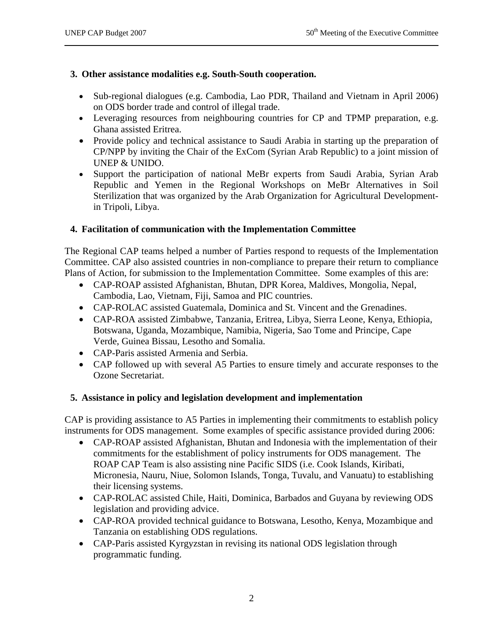#### **3. Other assistance modalities e.g. South-South cooperation.**

- Sub-regional dialogues (e.g. Cambodia, Lao PDR, Thailand and Vietnam in April 2006) on ODS border trade and control of illegal trade.
- Leveraging resources from neighbouring countries for CP and TPMP preparation, e.g. Ghana assisted Eritrea.
- Provide policy and technical assistance to Saudi Arabia in starting up the preparation of CP/NPP by inviting the Chair of the ExCom (Syrian Arab Republic) to a joint mission of UNEP & UNIDO.
- Support the participation of national MeBr experts from Saudi Arabia, Syrian Arab Republic and Yemen in the Regional Workshops on MeBr Alternatives in Soil Sterilization that was organized by the Arab Organization for Agricultural Developmentin Tripoli, Libya.

#### **4. Facilitation of communication with the Implementation Committee**

The Regional CAP teams helped a number of Parties respond to requests of the Implementation Committee. CAP also assisted countries in non-compliance to prepare their return to compliance Plans of Action, for submission to the Implementation Committee. Some examples of this are:

- CAP-ROAP assisted Afghanistan, Bhutan, DPR Korea, Maldives, Mongolia, Nepal, Cambodia, Lao, Vietnam, Fiji, Samoa and PIC countries.
- CAP-ROLAC assisted Guatemala, Dominica and St. Vincent and the Grenadines.
- CAP-ROA assisted Zimbabwe, Tanzania, Eritrea, Libya, Sierra Leone, Kenya, Ethiopia, Botswana, Uganda, Mozambique, Namibia, Nigeria, Sao Tome and Principe, Cape Verde, Guinea Bissau, Lesotho and Somalia.
- CAP-Paris assisted Armenia and Serbia.
- CAP followed up with several A5 Parties to ensure timely and accurate responses to the Ozone Secretariat.

#### **5. Assistance in policy and legislation development and implementation**

CAP is providing assistance to A5 Parties in implementing their commitments to establish policy instruments for ODS management. Some examples of specific assistance provided during 2006:

- CAP-ROAP assisted Afghanistan, Bhutan and Indonesia with the implementation of their commitments for the establishment of policy instruments for ODS management. The ROAP CAP Team is also assisting nine Pacific SIDS (i.e. Cook Islands, Kiribati, Micronesia, Nauru, Niue, Solomon Islands, Tonga, Tuvalu, and Vanuatu) to establishing their licensing systems.
- CAP-ROLAC assisted Chile, Haiti, Dominica, Barbados and Guyana by reviewing ODS legislation and providing advice.
- CAP-ROA provided technical guidance to Botswana, Lesotho, Kenya, Mozambique and Tanzania on establishing ODS regulations.
- CAP-Paris assisted Kyrgyzstan in revising its national ODS legislation through programmatic funding.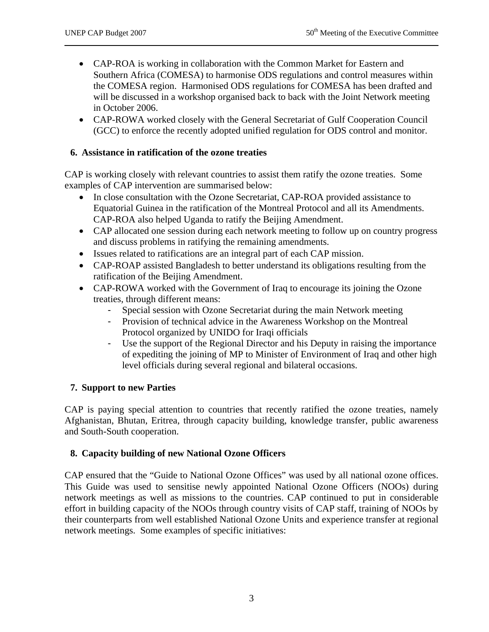- CAP-ROA is working in collaboration with the Common Market for Eastern and Southern Africa (COMESA) to harmonise ODS regulations and control measures within the COMESA region. Harmonised ODS regulations for COMESA has been drafted and will be discussed in a workshop organised back to back with the Joint Network meeting in October 2006.
- CAP-ROWA worked closely with the General Secretariat of Gulf Cooperation Council (GCC) to enforce the recently adopted unified regulation for ODS control and monitor.

#### **6. Assistance in ratification of the ozone treaties**

CAP is working closely with relevant countries to assist them ratify the ozone treaties. Some examples of CAP intervention are summarised below:

- In close consultation with the Ozone Secretariat, CAP-ROA provided assistance to Equatorial Guinea in the ratification of the Montreal Protocol and all its Amendments. CAP-ROA also helped Uganda to ratify the Beijing Amendment.
- CAP allocated one session during each network meeting to follow up on country progress and discuss problems in ratifying the remaining amendments.
- Issues related to ratifications are an integral part of each CAP mission.
- CAP-ROAP assisted Bangladesh to better understand its obligations resulting from the ratification of the Beijing Amendment.
- CAP-ROWA worked with the Government of Iraq to encourage its joining the Ozone treaties, through different means:
	- Special session with Ozone Secretariat during the main Network meeting
	- Provision of technical advice in the Awareness Workshop on the Montreal Protocol organized by UNIDO for Iraqi officials
	- Use the support of the Regional Director and his Deputy in raising the importance of expediting the joining of MP to Minister of Environment of Iraq and other high level officials during several regional and bilateral occasions.

#### **7. Support to new Parties**

CAP is paying special attention to countries that recently ratified the ozone treaties, namely Afghanistan, Bhutan, Eritrea, through capacity building, knowledge transfer, public awareness and South-South cooperation.

#### **8. Capacity building of new National Ozone Officers**

CAP ensured that the "Guide to National Ozone Offices" was used by all national ozone offices. This Guide was used to sensitise newly appointed National Ozone Officers (NOOs) during network meetings as well as missions to the countries. CAP continued to put in considerable effort in building capacity of the NOOs through country visits of CAP staff, training of NOOs by their counterparts from well established National Ozone Units and experience transfer at regional network meetings. Some examples of specific initiatives: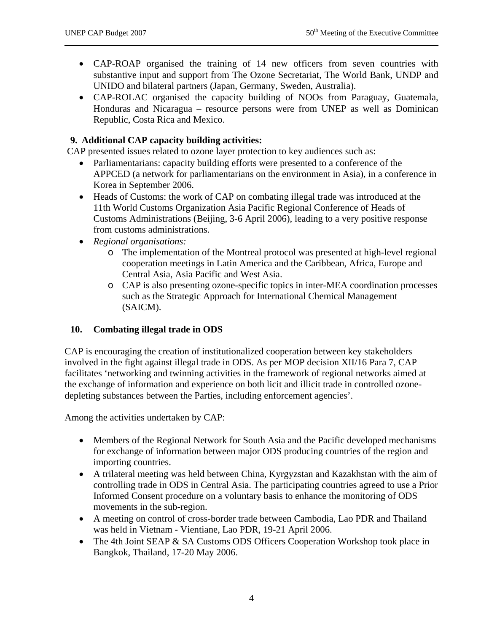- CAP-ROAP organised the training of 14 new officers from seven countries with substantive input and support from The Ozone Secretariat, The World Bank, UNDP and UNIDO and bilateral partners (Japan, Germany, Sweden, Australia).
- CAP-ROLAC organised the capacity building of NOOs from Paraguay, Guatemala, Honduras and Nicaragua – resource persons were from UNEP as well as Dominican Republic, Costa Rica and Mexico.

#### **9. Additional CAP capacity building activities:**

CAP presented issues related to ozone layer protection to key audiences such as:

- Parliamentarians: capacity building efforts were presented to a conference of the APPCED (a network for parliamentarians on the environment in Asia), in a conference in Korea in September 2006.
- Heads of Customs: the work of CAP on combating illegal trade was introduced at the 11th World Customs Organization Asia Pacific Regional Conference of Heads of Customs Administrations (Beijing, 3-6 April 2006), leading to a very positive response from customs administrations.
- *Regional organisations:*
	- o The implementation of the Montreal protocol was presented at high-level regional cooperation meetings in Latin America and the Caribbean, Africa, Europe and Central Asia, Asia Pacific and West Asia.
	- o CAP is also presenting ozone-specific topics in inter-MEA coordination processes such as the Strategic Approach for International Chemical Management (SAICM).

## **10. Combating illegal trade in ODS**

CAP is encouraging the creation of institutionalized cooperation between key stakeholders involved in the fight against illegal trade in ODS. As per MOP decision XII/16 Para 7, CAP facilitates 'networking and twinning activities in the framework of regional networks aimed at the exchange of information and experience on both licit and illicit trade in controlled ozonedepleting substances between the Parties, including enforcement agencies'.

Among the activities undertaken by CAP:

- Members of the Regional Network for South Asia and the Pacific developed mechanisms for exchange of information between major ODS producing countries of the region and importing countries.
- A trilateral meeting was held between China, Kyrgyzstan and Kazakhstan with the aim of controlling trade in ODS in Central Asia. The participating countries agreed to use a Prior Informed Consent procedure on a voluntary basis to enhance the monitoring of ODS movements in the sub-region.
- A meeting on control of cross-border trade between Cambodia, Lao PDR and Thailand was held in Vietnam - Vientiane, Lao PDR, 19-21 April 2006.
- The 4th Joint SEAP & SA Customs ODS Officers Cooperation Workshop took place in Bangkok, Thailand, 17-20 May 2006.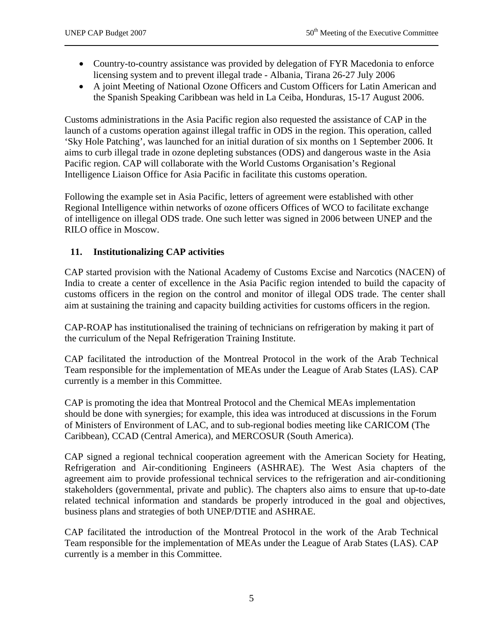- Country-to-country assistance was provided by delegation of FYR Macedonia to enforce licensing system and to prevent illegal trade - Albania, Tirana 26-27 July 2006
- A joint Meeting of National Ozone Officers and Custom Officers for Latin American and the Spanish Speaking Caribbean was held in La Ceiba, Honduras, 15-17 August 2006.

Customs administrations in the Asia Pacific region also requested the assistance of CAP in the launch of a customs operation against illegal traffic in ODS in the region. This operation, called 'Sky Hole Patching', was launched for an initial duration of six months on 1 September 2006. It aims to curb illegal trade in ozone depleting substances (ODS) and dangerous waste in the Asia Pacific region. CAP will collaborate with the World Customs Organisation's Regional Intelligence Liaison Office for Asia Pacific in facilitate this customs operation.

Following the example set in Asia Pacific, letters of agreement were established with other Regional Intelligence within networks of ozone officers Offices of WCO to facilitate exchange of intelligence on illegal ODS trade. One such letter was signed in 2006 between UNEP and the RILO office in Moscow.

### **11. Institutionalizing CAP activities**

CAP started provision with the National Academy of Customs Excise and Narcotics (NACEN) of India to create a center of excellence in the Asia Pacific region intended to build the capacity of customs officers in the region on the control and monitor of illegal ODS trade. The center shall aim at sustaining the training and capacity building activities for customs officers in the region.

CAP-ROAP has institutionalised the training of technicians on refrigeration by making it part of the curriculum of the Nepal Refrigeration Training Institute.

CAP facilitated the introduction of the Montreal Protocol in the work of the Arab Technical Team responsible for the implementation of MEAs under the League of Arab States (LAS). CAP currently is a member in this Committee.

CAP is promoting the idea that Montreal Protocol and the Chemical MEAs implementation should be done with synergies; for example, this idea was introduced at discussions in the Forum of Ministers of Environment of LAC, and to sub-regional bodies meeting like CARICOM (The Caribbean), CCAD (Central America), and MERCOSUR (South America).

CAP signed a regional technical cooperation agreement with the American Society for Heating, Refrigeration and Air-conditioning Engineers (ASHRAE). The West Asia chapters of the agreement aim to provide professional technical services to the refrigeration and air-conditioning stakeholders (governmental, private and public). The chapters also aims to ensure that up-to-date related technical information and standards be properly introduced in the goal and objectives, business plans and strategies of both UNEP/DTIE and ASHRAE.

CAP facilitated the introduction of the Montreal Protocol in the work of the Arab Technical Team responsible for the implementation of MEAs under the League of Arab States (LAS). CAP currently is a member in this Committee.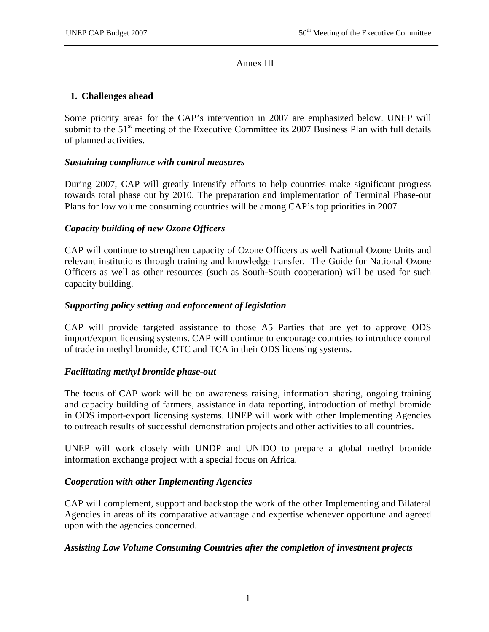#### Annex III

#### **1. Challenges ahead**

Some priority areas for the CAP's intervention in 2007 are emphasized below. UNEP will submit to the  $51<sup>st</sup>$  meeting of the Executive Committee its 2007 Business Plan with full details of planned activities.

#### *Sustaining compliance with control measures*

During 2007, CAP will greatly intensify efforts to help countries make significant progress towards total phase out by 2010. The preparation and implementation of Terminal Phase-out Plans for low volume consuming countries will be among CAP's top priorities in 2007.

#### *Capacity building of new Ozone Officers*

CAP will continue to strengthen capacity of Ozone Officers as well National Ozone Units and relevant institutions through training and knowledge transfer. The Guide for National Ozone Officers as well as other resources (such as South-South cooperation) will be used for such capacity building.

#### *Supporting policy setting and enforcement of legislation*

CAP will provide targeted assistance to those A5 Parties that are yet to approve ODS import/export licensing systems. CAP will continue to encourage countries to introduce control of trade in methyl bromide, CTC and TCA in their ODS licensing systems.

#### *Facilitating methyl bromide phase-out*

The focus of CAP work will be on awareness raising, information sharing, ongoing training and capacity building of farmers, assistance in data reporting, introduction of methyl bromide in ODS import-export licensing systems. UNEP will work with other Implementing Agencies to outreach results of successful demonstration projects and other activities to all countries.

UNEP will work closely with UNDP and UNIDO to prepare a global methyl bromide information exchange project with a special focus on Africa.

#### *Cooperation with other Implementing Agencies*

CAP will complement, support and backstop the work of the other Implementing and Bilateral Agencies in areas of its comparative advantage and expertise whenever opportune and agreed upon with the agencies concerned.

#### *Assisting Low Volume Consuming Countries after the completion of investment projects*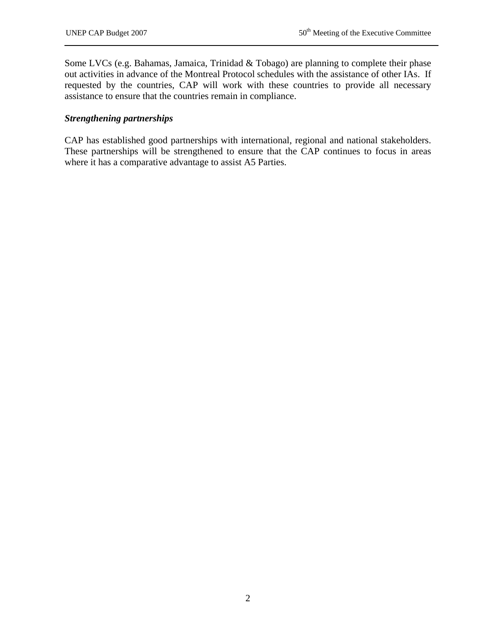Some LVCs (e.g. Bahamas, Jamaica, Trinidad & Tobago) are planning to complete their phase out activities in advance of the Montreal Protocol schedules with the assistance of other IAs. If requested by the countries, CAP will work with these countries to provide all necessary assistance to ensure that the countries remain in compliance.

#### *Strengthening partnerships*

CAP has established good partnerships with international, regional and national stakeholders. These partnerships will be strengthened to ensure that the CAP continues to focus in areas where it has a comparative advantage to assist A5 Parties.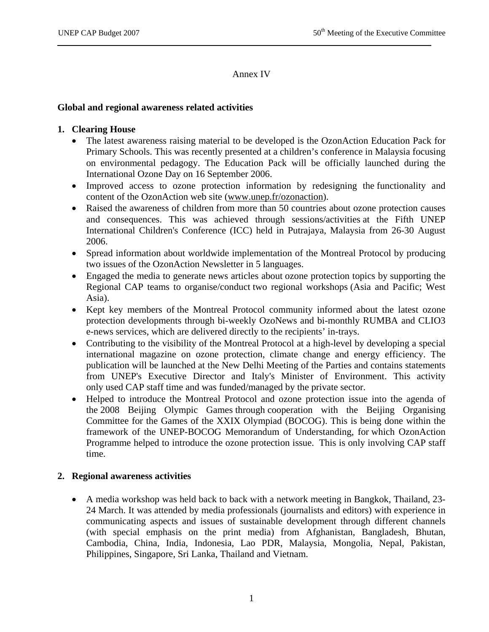#### Annex IV

#### **Global and regional awareness related activities**

#### **1. Clearing House**

- The latest awareness raising material to be developed is the OzonAction Education Pack for Primary Schools. This was recently presented at a children's conference in Malaysia focusing on environmental pedagogy. The Education Pack will be officially launched during the International Ozone Day on 16 September 2006.
- Improved access to ozone protection information by redesigning the functionality and content of the OzonAction web site (www.unep.fr/ozonaction).
- Raised the awareness of children from more than 50 countries about ozone protection causes and consequences. This was achieved through sessions/activities at the Fifth UNEP International Children's Conference (ICC) held in Putrajaya, Malaysia from 26-30 August 2006.
- Spread information about worldwide implementation of the Montreal Protocol by producing two issues of the OzonAction Newsletter in 5 languages.
- Engaged the media to generate news articles about ozone protection topics by supporting the Regional CAP teams to organise/conduct two regional workshops (Asia and Pacific; West Asia).
- Kept key members of the Montreal Protocol community informed about the latest ozone protection developments through bi-weekly OzoNews and bi-monthly RUMBA and CLIO3 e-news services, which are delivered directly to the recipients' in-trays.
- Contributing to the visibility of the Montreal Protocol at a high-level by developing a special international magazine on ozone protection, climate change and energy efficiency. The publication will be launched at the New Delhi Meeting of the Parties and contains statements from UNEP's Executive Director and Italy's Minister of Environment. This activity only used CAP staff time and was funded/managed by the private sector.
- Helped to introduce the Montreal Protocol and ozone protection issue into the agenda of the 2008 Beijing Olympic Games through cooperation with the Beijing Organising Committee for the Games of the XXIX Olympiad (BOCOG). This is being done within the framework of the UNEP-BOCOG Memorandum of Understanding, for which OzonAction Programme helped to introduce the ozone protection issue. This is only involving CAP staff time.

#### **2. Regional awareness activities**

• A media workshop was held back to back with a network meeting in Bangkok, Thailand, 23- 24 March. It was attended by media professionals (journalists and editors) with experience in communicating aspects and issues of sustainable development through different channels (with special emphasis on the print media) from Afghanistan, Bangladesh, Bhutan, Cambodia, China, India, Indonesia, Lao PDR, Malaysia, Mongolia, Nepal, Pakistan, Philippines, Singapore, Sri Lanka, Thailand and Vietnam.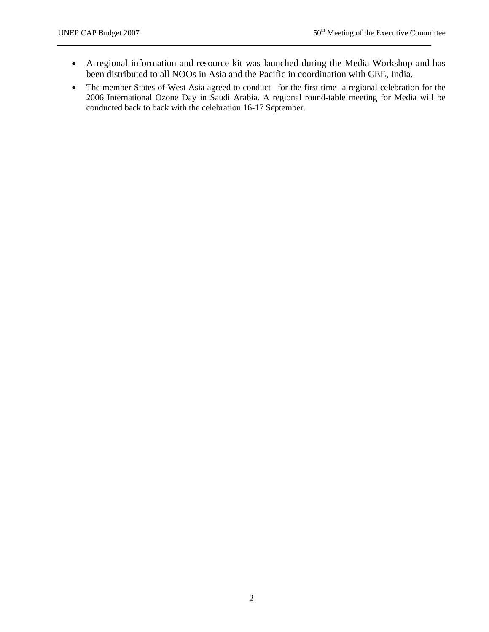- A regional information and resource kit was launched during the Media Workshop and has been distributed to all NOOs in Asia and the Pacific in coordination with CEE, India.
- The member States of West Asia agreed to conduct –for the first time- a regional celebration for the 2006 International Ozone Day in Saudi Arabia. A regional round-table meeting for Media will be conducted back to back with the celebration 16-17 September.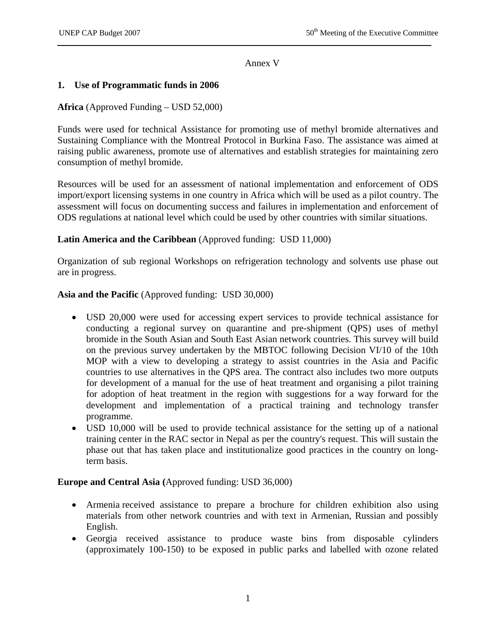Annex V

#### **1. Use of Programmatic funds in 2006**

#### **Africa** (Approved Funding – USD 52,000)

Funds were used for technical Assistance for promoting use of methyl bromide alternatives and Sustaining Compliance with the Montreal Protocol in Burkina Faso. The assistance was aimed at raising public awareness, promote use of alternatives and establish strategies for maintaining zero consumption of methyl bromide.

Resources will be used for an assessment of national implementation and enforcement of ODS import/export licensing systems in one country in Africa which will be used as a pilot country. The assessment will focus on documenting success and failures in implementation and enforcement of ODS regulations at national level which could be used by other countries with similar situations.

#### **Latin America and the Caribbean** (Approved funding: USD 11,000)

Organization of sub regional Workshops on refrigeration technology and solvents use phase out are in progress.

#### **Asia and the Pacific** (Approved funding: USD 30,000)

- USD 20,000 were used for accessing expert services to provide technical assistance for conducting a regional survey on quarantine and pre-shipment (QPS) uses of methyl bromide in the South Asian and South East Asian network countries. This survey will build on the previous survey undertaken by the MBTOC following Decision VI/10 of the 10th MOP with a view to developing a strategy to assist countries in the Asia and Pacific countries to use alternatives in the QPS area. The contract also includes two more outputs for development of a manual for the use of heat treatment and organising a pilot training for adoption of heat treatment in the region with suggestions for a way forward for the development and implementation of a practical training and technology transfer programme.
- USD 10,000 will be used to provide technical assistance for the setting up of a national training center in the RAC sector in Nepal as per the country's request. This will sustain the phase out that has taken place and institutionalize good practices in the country on longterm basis.

#### **Europe and Central Asia (**Approved funding: USD 36,000)

- Armenia received assistance to prepare a brochure for children exhibition also using materials from other network countries and with text in Armenian, Russian and possibly English.
- Georgia received assistance to produce waste bins from disposable cylinders (approximately 100-150) to be exposed in public parks and labelled with ozone related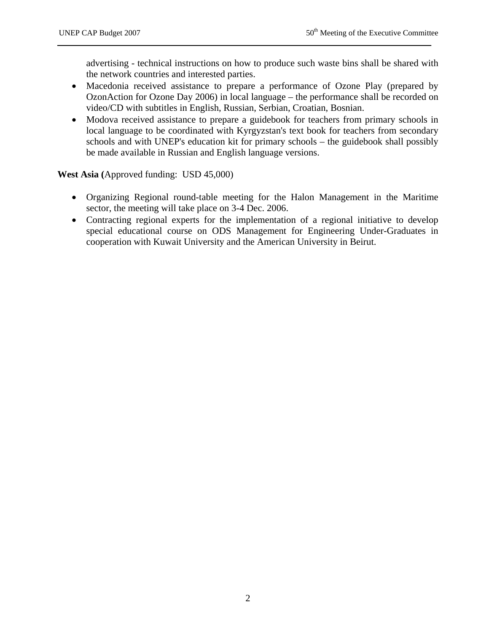advertising - technical instructions on how to produce such waste bins shall be shared with the network countries and interested parties.

- Macedonia received assistance to prepare a performance of Ozone Play (prepared by OzonAction for Ozone Day 2006) in local language – the performance shall be recorded on video/CD with subtitles in English, Russian, Serbian, Croatian, Bosnian.
- Modova received assistance to prepare a guidebook for teachers from primary schools in local language to be coordinated with Kyrgyzstan's text book for teachers from secondary schools and with UNEP's education kit for primary schools – the guidebook shall possibly be made available in Russian and English language versions.

**West Asia (**Approved funding: USD 45,000)

- Organizing Regional round-table meeting for the Halon Management in the Maritime sector, the meeting will take place on 3-4 Dec. 2006.
- Contracting regional experts for the implementation of a regional initiative to develop special educational course on ODS Management for Engineering Under-Graduates in cooperation with Kuwait University and the American University in Beirut.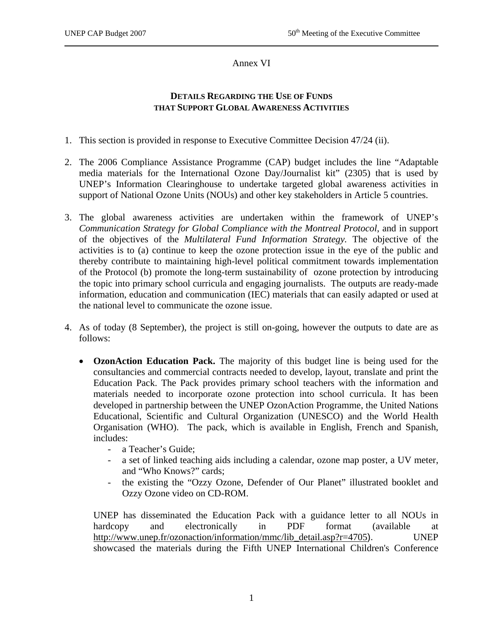Annex VI

#### **DETAILS REGARDING THE USE OF FUNDS THAT SUPPORT GLOBAL AWARENESS ACTIVITIES**

- 1. This section is provided in response to Executive Committee Decision 47/24 (ii).
- 2. The 2006 Compliance Assistance Programme (CAP) budget includes the line "Adaptable media materials for the International Ozone Day/Journalist kit" (2305) that is used by UNEP's Information Clearinghouse to undertake targeted global awareness activities in support of National Ozone Units (NOUs) and other key stakeholders in Article 5 countries.
- 3. The global awareness activities are undertaken within the framework of UNEP's *Communication Strategy for Global Compliance with the Montreal Protocol*, and in support of the objectives of the *Multilateral Fund Information Strategy.* The objective of the activities is to (a) continue to keep the ozone protection issue in the eye of the public and thereby contribute to maintaining high-level political commitment towards implementation of the Protocol (b) promote the long-term sustainability of ozone protection by introducing the topic into primary school curricula and engaging journalists. The outputs are ready-made information, education and communication (IEC) materials that can easily adapted or used at the national level to communicate the ozone issue.
- 4. As of today (8 September), the project is still on-going, however the outputs to date are as follows:
	- **OzonAction Education Pack.** The majority of this budget line is being used for the consultancies and commercial contracts needed to develop, layout, translate and print the Education Pack. The Pack provides primary school teachers with the information and materials needed to incorporate ozone protection into school curricula. It has been developed in partnership between the UNEP OzonAction Programme, the United Nations Educational, Scientific and Cultural Organization (UNESCO) and the World Health Organisation (WHO). The pack, which is available in English, French and Spanish, includes:
		- a Teacher's Guide;
		- a set of linked teaching aids including a calendar, ozone map poster, a UV meter, and "Who Knows?" cards;
		- the existing the "Ozzy Ozone, Defender of Our Planet" illustrated booklet and Ozzy Ozone video on CD-ROM.

UNEP has disseminated the Education Pack with a guidance letter to all NOUs in hardcopy and electronically in PDF format (available at http://www.unep.fr/ozonaction/information/mmc/lib\_detail.asp?r=4705). UNEP showcased the materials during the Fifth UNEP International Children's Conference